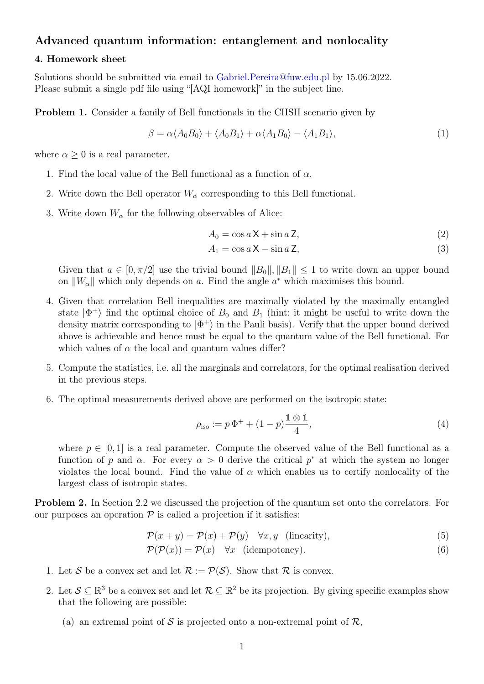## Advanced quantum information: entanglement and nonlocality

## 4. Homework sheet

Solutions should be submitted via email to [Gabriel.Pereira@fuw.edu.pl](mailto:Gabriel.Pereira@fuw.edu.pl?subject=[AQI homework]) by 15.06.2022. Please submit a single pdf file using "[AQI homework]" in the subject line.

Problem 1. Consider a family of Bell functionals in the CHSH scenario given by

$$
\beta = \alpha \langle A_0 B_0 \rangle + \langle A_0 B_1 \rangle + \alpha \langle A_1 B_0 \rangle - \langle A_1 B_1 \rangle, \tag{1}
$$

where  $\alpha \geq 0$  is a real parameter.

- 1. Find the local value of the Bell functional as a function of  $\alpha$ .
- 2. Write down the Bell operator  $W_{\alpha}$  corresponding to this Bell functional.
- 3. Write down  $W_{\alpha}$  for the following observables of Alice:

$$
A_0 = \cos a \mathsf{X} + \sin a \mathsf{Z},\tag{2}
$$

$$
A_1 = \cos a \mathsf{X} - \sin a \mathsf{Z},\tag{3}
$$

Given that  $a \in [0, \pi/2]$  use the trivial bound  $||B_0||, ||B_1|| \leq 1$  to write down an upper bound on  $||W_{\alpha}||$  which only depends on a. Find the angle  $a^*$  which maximises this bound.

- 4. Given that correlation Bell inequalities are maximally violated by the maximally entangled state  $|\Phi^+\rangle$  find the optimal choice of  $B_0$  and  $B_1$  (hint: it might be useful to write down the density matrix corresponding to  $|\Phi^+\rangle$  in the Pauli basis). Verify that the upper bound derived above is achievable and hence must be equal to the quantum value of the Bell functional. For which values of  $\alpha$  the local and quantum values differ?
- 5. Compute the statistics, i.e. all the marginals and correlators, for the optimal realisation derived in the previous steps.
- 6. The optimal measurements derived above are performed on the isotropic state:

$$
\rho_{\text{iso}} := p \, \Phi^+ + (1 - p) \frac{\mathbb{1} \otimes \mathbb{1}}{4},\tag{4}
$$

where  $p \in [0, 1]$  is a real parameter. Compute the observed value of the Bell functional as a function of p and  $\alpha$ . For every  $\alpha > 0$  derive the critical  $p^*$  at which the system no longer violates the local bound. Find the value of  $\alpha$  which enables us to certify nonlocality of the largest class of isotropic states.

Problem 2. In Section 2.2 we discussed the projection of the quantum set onto the correlators. For our purposes an operation  $P$  is called a projection if it satisfies:

$$
\mathcal{P}(x+y) = \mathcal{P}(x) + \mathcal{P}(y) \quad \forall x, y \quad \text{(linearity)},\tag{5}
$$

$$
\mathcal{P}(\mathcal{P}(x)) = \mathcal{P}(x) \quad \forall x \quad (\text{idempotency}).\tag{6}
$$

- 1. Let S be a convex set and let  $\mathcal{R} := \mathcal{P}(\mathcal{S})$ . Show that R is convex.
- 2. Let  $\mathcal{S} \subseteq \mathbb{R}^3$  be a convex set and let  $\mathcal{R} \subseteq \mathbb{R}^2$  be its projection. By giving specific examples show that the following are possible:
	- (a) an extremal point of S is projected onto a non-extremal point of  $\mathcal{R}$ ,